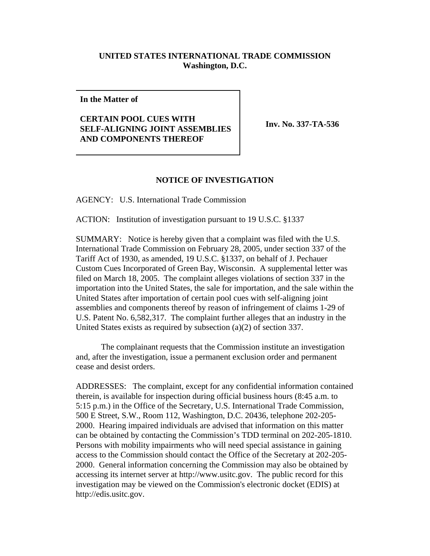## **UNITED STATES INTERNATIONAL TRADE COMMISSION Washington, D.C.**

**In the Matter of**

## **CERTAIN POOL CUES WITH SELF-ALIGNING JOINT ASSEMBLIES AND COMPONENTS THEREOF**

**Inv. No. 337-TA-536** 

## **NOTICE OF INVESTIGATION**

AGENCY: U.S. International Trade Commission

ACTION: Institution of investigation pursuant to 19 U.S.C. §1337

SUMMARY: Notice is hereby given that a complaint was filed with the U.S. International Trade Commission on February 28, 2005, under section 337 of the Tariff Act of 1930, as amended, 19 U.S.C. §1337, on behalf of J. Pechauer Custom Cues Incorporated of Green Bay, Wisconsin. A supplemental letter was filed on March 18, 2005. The complaint alleges violations of section 337 in the importation into the United States, the sale for importation, and the sale within the United States after importation of certain pool cues with self-aligning joint assemblies and components thereof by reason of infringement of claims 1-29 of U.S. Patent No. 6,582,317. The complaint further alleges that an industry in the United States exists as required by subsection (a)(2) of section 337.

The complainant requests that the Commission institute an investigation and, after the investigation, issue a permanent exclusion order and permanent cease and desist orders.

ADDRESSES: The complaint, except for any confidential information contained therein, is available for inspection during official business hours (8:45 a.m. to 5:15 p.m.) in the Office of the Secretary, U.S. International Trade Commission, 500 E Street, S.W., Room 112, Washington, D.C. 20436, telephone 202-205- 2000. Hearing impaired individuals are advised that information on this matter can be obtained by contacting the Commission's TDD terminal on 202-205-1810. Persons with mobility impairments who will need special assistance in gaining access to the Commission should contact the Office of the Secretary at 202-205- 2000. General information concerning the Commission may also be obtained by accessing its internet server at http://www.usitc.gov. The public record for this investigation may be viewed on the Commission's electronic docket (EDIS) at http://edis.usitc.gov.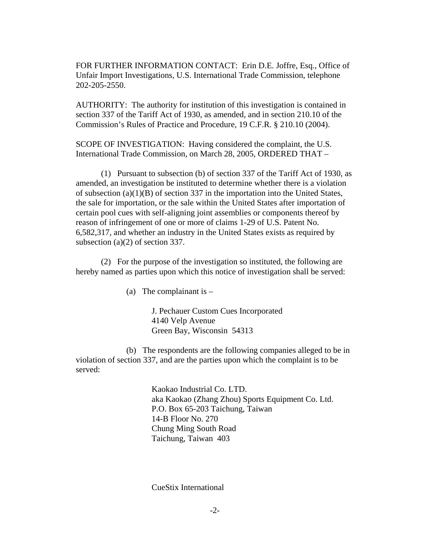FOR FURTHER INFORMATION CONTACT: Erin D.E. Joffre, Esq., Office of Unfair Import Investigations, U.S. International Trade Commission, telephone 202-205-2550.

AUTHORITY: The authority for institution of this investigation is contained in section 337 of the Tariff Act of 1930, as amended, and in section 210.10 of the Commission's Rules of Practice and Procedure, 19 C.F.R. § 210.10 (2004).

SCOPE OF INVESTIGATION: Having considered the complaint, the U.S. International Trade Commission, on March 28, 2005, ORDERED THAT –

(1) Pursuant to subsection (b) of section 337 of the Tariff Act of 1930, as amended, an investigation be instituted to determine whether there is a violation of subsection (a)(1)(B) of section 337 in the importation into the United States, the sale for importation, or the sale within the United States after importation of certain pool cues with self-aligning joint assemblies or components thereof by reason of infringement of one or more of claims 1-29 of U.S. Patent No. 6,582,317, and whether an industry in the United States exists as required by subsection (a)(2) of section 337.

(2) For the purpose of the investigation so instituted, the following are hereby named as parties upon which this notice of investigation shall be served:

(a) The complainant is  $-$ 

J. Pechauer Custom Cues Incorporated 4140 Velp Avenue Green Bay, Wisconsin 54313

(b) The respondents are the following companies alleged to be in violation of section 337, and are the parties upon which the complaint is to be served:

> Kaokao Industrial Co. LTD. aka Kaokao (Zhang Zhou) Sports Equipment Co. Ltd. P.O. Box 65-203 Taichung, Taiwan 14-B Floor No. 270 Chung Ming South Road Taichung, Taiwan 403

CueStix International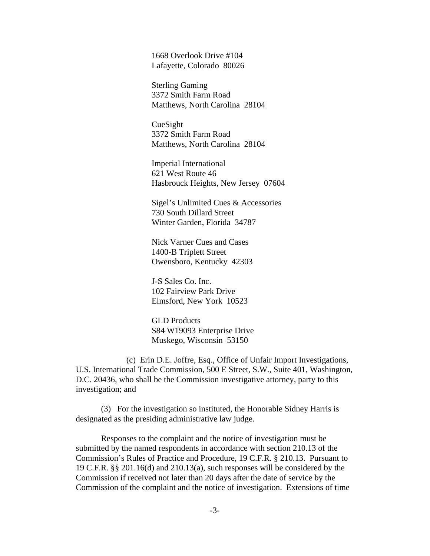1668 Overlook Drive #104 Lafayette, Colorado 80026

Sterling Gaming 3372 Smith Farm Road Matthews, North Carolina 28104

CueSight 3372 Smith Farm Road Matthews, North Carolina 28104

Imperial International 621 West Route 46 Hasbrouck Heights, New Jersey 07604

Sigel's Unlimited Cues & Accessories 730 South Dillard Street Winter Garden, Florida 34787

Nick Varner Cues and Cases 1400-B Triplett Street Owensboro, Kentucky 42303

J-S Sales Co. Inc. 102 Fairview Park Drive Elmsford, New York 10523

GLD Products S84 W19093 Enterprise Drive Muskego, Wisconsin 53150

(c) Erin D.E. Joffre, Esq., Office of Unfair Import Investigations, U.S. International Trade Commission, 500 E Street, S.W., Suite 401, Washington, D.C. 20436, who shall be the Commission investigative attorney, party to this investigation; and

(3) For the investigation so instituted, the Honorable Sidney Harris is designated as the presiding administrative law judge.

Responses to the complaint and the notice of investigation must be submitted by the named respondents in accordance with section 210.13 of the Commission's Rules of Practice and Procedure, 19 C.F.R. § 210.13. Pursuant to 19 C.F.R. §§ 201.16(d) and 210.13(a), such responses will be considered by the Commission if received not later than 20 days after the date of service by the Commission of the complaint and the notice of investigation. Extensions of time